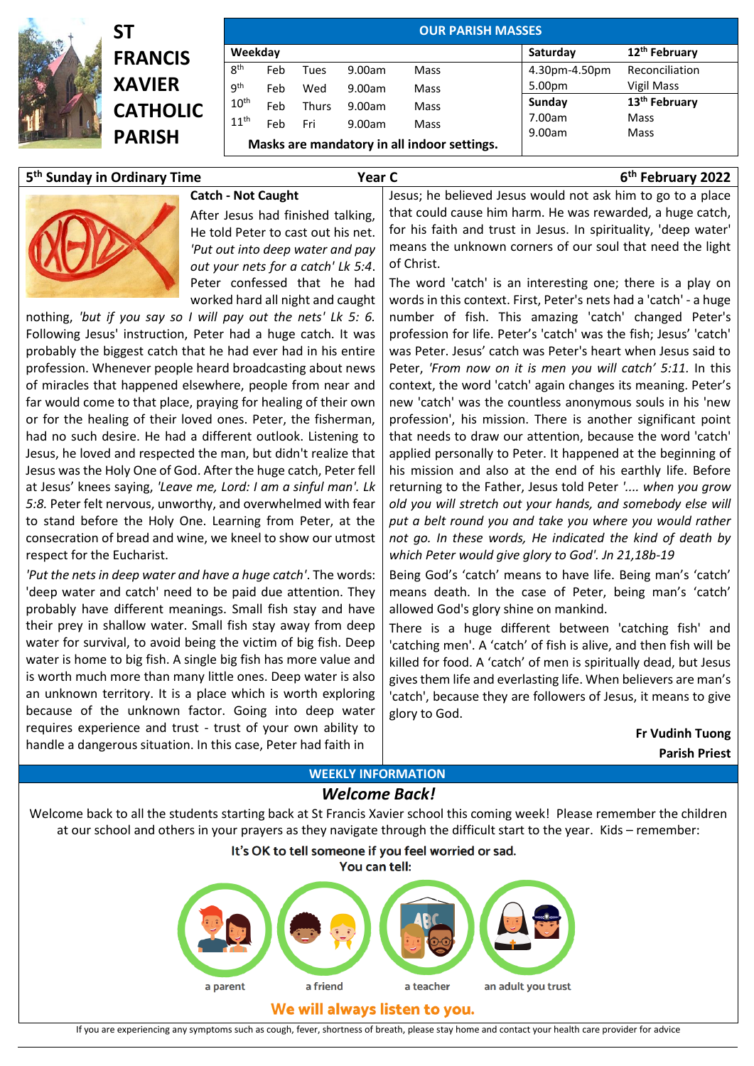

| SΤ              |
|-----------------|
| <b>FRANCIS</b>  |
| <b>XAVIER</b>   |
| <b>CATHOLIC</b> |
| <b>PARISH</b>   |
|                 |

| Weekday          |     |              |        |      | Saturday      | 12 <sup>th</sup> February |
|------------------|-----|--------------|--------|------|---------------|---------------------------|
| 8 <sup>th</sup>  | Feb | Tues         | 9.00am | Mass | 4.30pm-4.50pm | Reconciliation            |
| 9 <sup>th</sup>  | Feb | Wed          | 9.00am | Mass | 5.00pm        | Vigil Mass                |
| 10 <sup>th</sup> | Feb | <b>Thurs</b> | 9.00am | Mass | Sunday        | 13 <sup>th</sup> February |
| 11 <sup>th</sup> | Feb | Fri          | 9.00am | Mass | 7.00am        | Mass                      |

## **5 th Sunday in Ordinary Time Year C 6**

## **Catch - Not Caught**

After Jesus had finished talking, He told Peter to cast out his net. *'Put out into deep water and pay out your nets for a catch' Lk 5:4*. Peter confessed that he had worked hard all night and caught

nothing, *'but if you say so I will pay out the nets' Lk 5: 6.*  Following Jesus' instruction, Peter had a huge catch. It was probably the biggest catch that he had ever had in his entire profession. Whenever people heard broadcasting about news of miracles that happened elsewhere, people from near and far would come to that place, praying for healing of their own or for the healing of their loved ones. Peter, the fisherman, had no such desire. He had a different outlook. Listening to Jesus, he loved and respected the man, but didn't realize that Jesus was the Holy One of God. After the huge catch, Peter fell at Jesus' knees saying, *'Leave me, Lord: I am a sinful man'. Lk 5:8.* Peter felt nervous, unworthy, and overwhelmed with fear to stand before the Holy One. Learning from Peter, at the consecration of bread and wine, we kneel to show our utmost respect for the Eucharist.

*'Put the nets in deep water and have a huge catch'*. The words: 'deep water and catch' need to be paid due attention. They probably have different meanings. Small fish stay and have their prey in shallow water. Small fish stay away from deep water for survival, to avoid being the victim of big fish. Deep water is home to big fish. A single big fish has more value and is worth much more than many little ones. Deep water is also an unknown territory. It is a place which is worth exploring because of the unknown factor. Going into deep water requires experience and trust - trust of your own ability to handle a dangerous situation. In this case, Peter had faith in

Jesus; he believed Jesus would not ask him to go to a place that could cause him harm. He was rewarded, a huge catch, for his faith and trust in Jesus. In spirituality, 'deep water' means the unknown corners of our soul that need the light of Christ.

The word 'catch' is an interesting one; there is a play on words in this context. First, Peter's nets had a 'catch' - a huge number of fish. This amazing 'catch' changed Peter's profession for life. Peter's 'catch' was the fish; Jesus' 'catch' was Peter. Jesus' catch was Peter's heart when Jesus said to Peter, *'From now on it is men you will catch' 5:11.* In this context, the word 'catch' again changes its meaning. Peter's new 'catch' was the countless anonymous souls in his 'new profession', his mission. There is another significant point that needs to draw our attention, because the word 'catch' applied personally to Peter. It happened at the beginning of his mission and also at the end of his earthly life. Before returning to the Father, Jesus told Peter *'.... when you grow old you will stretch out your hands, and somebody else will put a belt round you and take you where you would rather not go. In these words, He indicated the kind of death by which Peter would give glory to God'. Jn 21,18b-19*

Being God's 'catch' means to have life. Being man's 'catch' means death. In the case of Peter, being man's 'catch' allowed God's glory shine on mankind.

There is a huge different between 'catching fish' and 'catching men'. A 'catch' of fish is alive, and then fish will be killed for food. A 'catch' of men is spiritually dead, but Jesus gives them life and everlasting life. When believers are man's 'catch', because they are followers of Jesus, it means to give glory to God.

> **Fr Vudinh Tuong Parish Priest**

**th February 2022**

# **WEEKLY INFORMATION**

### *Welcome Back!*

Welcome back to all the students starting back at St Francis Xavier school this coming week! Please remember the children at our school and others in your prayers as they navigate through the difficult start to the year. Kids – remember:





### We will always listen to you.

If you are experiencing any symptoms such as cough, fever, shortness of breath, please stay home and contact your health care provider for advice